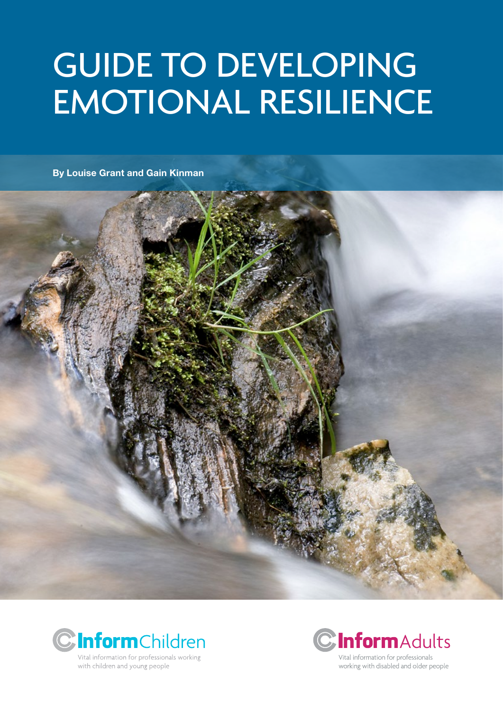# Guide to developing emotional resilience

**By Louise Grant and Gain Kinman**







Vital information for professionals working with disabled and older people

with children and young people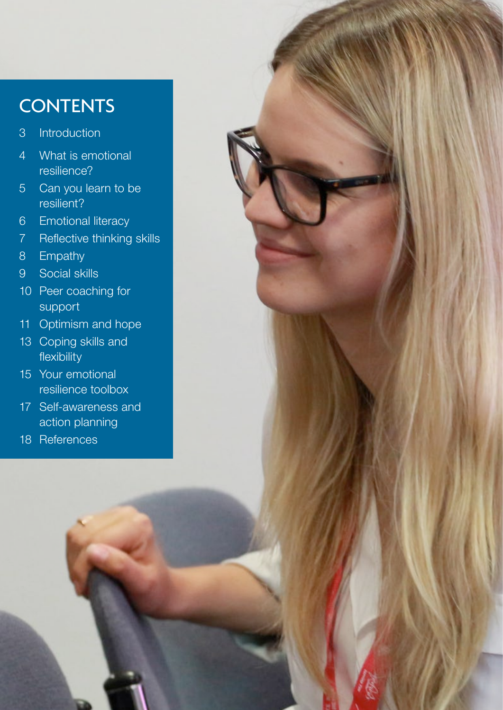# **CONTENTS**

- [3 Introduction](#page-2-0)
- [4 What is emotional](#page-3-0)  [resilience?](#page-3-0)
- [5 Can you learn to be](#page-4-0)  [resilient?](#page-4-0)
- 6 [Emotional l](#page-5-0)iteracy
- 7 [Reflective thinking skills](#page-6-0)
- 8 [Empathy](#page-7-0)
- [9 Social skills](#page-8-0)
- [10 Peer coaching for](#page-9-0)  [support](#page-9-0)
- 11 [Optimism and hope](#page-10-0)
- [13 Coping skills and](#page-12-0)  [flexibility](#page-12-0)
- [15 Your emotional](#page-14-0)  [resilience toolbox](#page-14-0)
- [17 Self-awareness and](#page-16-0)  [action planning](#page-16-0)
- [18 References](#page-17-0)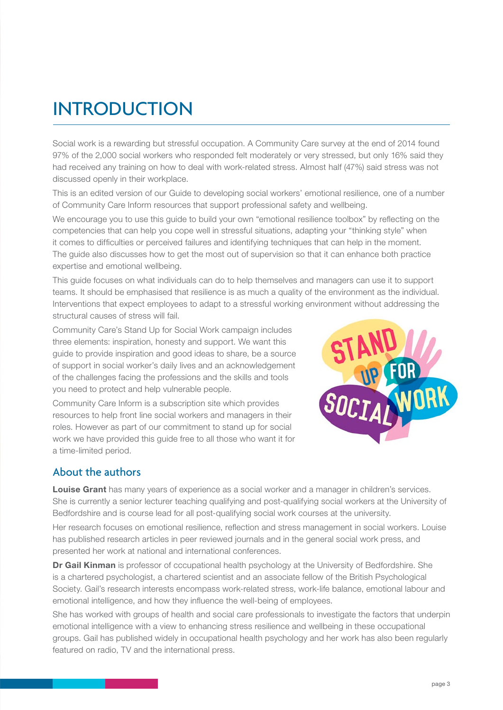# <span id="page-2-0"></span>**INTRODUCTION**

Social work is a rewarding but stressful occupation. A Community Care survey at the end of 2014 found 97% of the 2,000 social workers who responded felt moderately or very stressed, but only 16% said they had received any training on how to deal with work-related stress. Almost half (47%) said stress was not discussed openly in their workplace.

This is an edited version of our Guide to developing social workers' emotional resilience, one of a number of Community Care Inform resources that support professional safety and wellbeing.

We encourage you to use this guide to build your own "emotional resilience toolbox" by reflecting on the competencies that can help you cope well in stressful situations, adapting your "thinking style" when it comes to difficulties or perceived failures and identifying techniques that can help in the moment. The guide also discusses how to get the most out of supervision so that it can enhance both practice expertise and emotional wellbeing.

This guide focuses on what individuals can do to help themselves and managers can use it to support teams. It should be emphasised that resilience is as much a quality of the environment as the individual. Interventions that expect employees to adapt to a stressful working environment without addressing the structural causes of stress will fail.

Community Care's Stand Up for Social Work campaign includes three elements: inspiration, honesty and support. We want this guide to provide inspiration and good ideas to share, be a source of support in social worker's daily lives and an acknowledgement of the challenges facing the professions and the skills and tools you need to protect and help vulnerable people.

Community Care Inform is a subscription site which provides resources to help front line social workers and managers in their roles. However as part of our commitment to stand up for social work we have provided this guide free to all those who want it for a time-limited period.



### About the authors

**Louise Grant** has many years of experience as a social worker and a manager in children's services. She is currently a senior lecturer teaching qualifying and post-qualifying social workers at the University of Bedfordshire and is course lead for all post-qualifying social work courses at the university.

Her research focuses on emotional resilience, reflection and stress management in social workers. Louise has published research articles in peer reviewed journals and in the general social work press, and presented her work at national and international conferences.

**Dr Gail Kinman** is professor of cccupational health psychology at the University of Bedfordshire. She is a chartered psychologist, a chartered scientist and an associate fellow of the British Psychological Society. Gail's research interests encompass work-related stress, work-life balance, emotional labour and emotional intelligence, and how they influence the well-being of employees.

She has worked with groups of health and social care professionals to investigate the factors that underpin emotional intelligence with a view to enhancing stress resilience and wellbeing in these occupational groups. Gail has published widely in occupational health psychology and her work has also been regularly featured on radio, TV and the international press.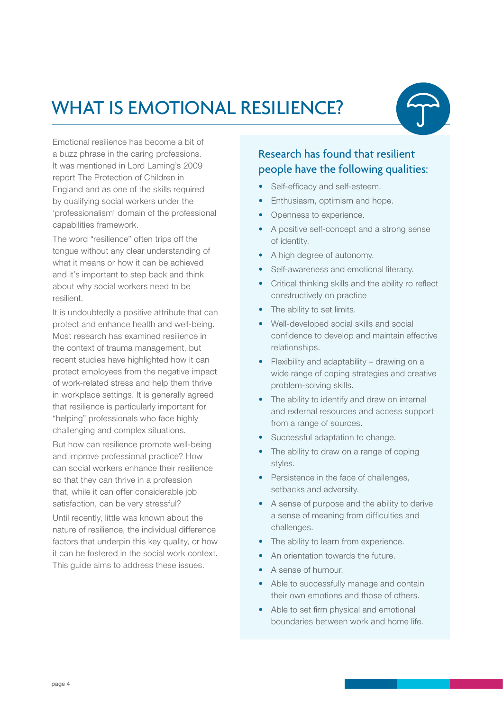# <span id="page-3-0"></span>WHAT IS EMOTIONAL RESILIENCE?



Emotional resilience has become a bit of a buzz phrase in the caring professions. It was mentioned in Lord Laming's 2009 report The Protection of Children in England and as one of the skills required by qualifying social workers under the 'professionalism' domain of the professional capabilities framework.

The word "resilience" often trips off the tongue without any clear understanding of what it means or how it can be achieved and it's important to step back and think about why social workers need to be resilient.

It is undoubtedly a positive attribute that can protect and enhance health and well-being. Most research has examined resilience in the context of trauma management, but recent studies have highlighted how it can protect employees from the negative impact of work-related stress and help them thrive in workplace settings. It is generally agreed that resilience is particularly important for "helping" professionals who face highly challenging and complex situations.

But how can resilience promote well-being and improve professional practice? How can social workers enhance their resilience so that they can thrive in a profession that, while it can offer considerable job satisfaction, can be very stressful?

Until recently, little was known about the nature of resilience, the individual difference factors that underpin this key quality, or how it can be fostered in the social work context. This guide aims to address these issues.

### Research has found that resilient people have the following qualities:

- Self-efficacy and self-esteem.
- Enthusiasm, optimism and hope.
- Openness to experience.
- A positive self-concept and a strong sense of identity.
- A high degree of autonomy.
- Self-awareness and emotional literacy.
- Critical thinking skills and the ability ro reflect constructively on practice
- The ability to set limits.
- Well-developed social skills and social confidence to develop and maintain effective relationships.
- Flexibility and adaptability drawing on a wide range of coping strategies and creative problem-solving skills.
- The ability to identify and draw on internal and external resources and access support from a range of sources.
- Successful adaptation to change.
- The ability to draw on a range of coping styles.
- Persistence in the face of challenges, setbacks and adversity.
- A sense of purpose and the ability to derive a sense of meaning from difficulties and challenges.
- The ability to learn from experience.
- An orientation towards the future.
- A sense of humour.
- Able to successfully manage and contain their own emotions and those of others.
- Able to set firm physical and emotional boundaries between work and home life.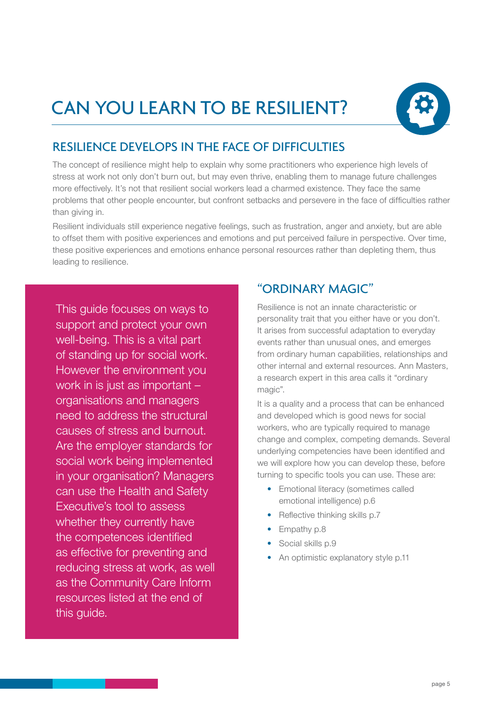# <span id="page-4-0"></span>Can you learn to be resilient?



### Resilience develops in the face of difficulties

The concept of resilience might help to explain why some practitioners who experience high levels of stress at work not only don't burn out, but may even thrive, enabling them to manage future challenges more effectively. It's not that resilient social workers lead a charmed existence. They face the same problems that other people encounter, but confront setbacks and persevere in the face of difficulties rather than giving in.

Resilient individuals still experience negative feelings, such as frustration, anger and anxiety, but are able to offset them with positive experiences and emotions and put perceived failure in perspective. Over time, these positive experiences and emotions enhance personal resources rather than depleting them, thus leading to resilience.

This guide focuses on ways to support and protect your own well-being. This is a vital part of standing up for social work. However the environment you work in is just as important – organisations and managers need to address the structural causes of stress and burnout. Are the [employer standards](http://www.local.gov.uk/workforce/-/journal_content/56/10180/3511605/ARTICLE) for social work being implemented in your organisation? Managers can use the [Health and Safety](http://www.hse.gov.uk/stress/mcit.htm)  [Executive's tool](http://www.hse.gov.uk/stress/mcit.htm) to assess whether they currently have the competences identified as effective for preventing and reducing stress at work, as well as the Community Care Inform resources listed at the end of this guide.

### "Ordinary magic"

Resilience is not an innate characteristic or personality trait that you either have or you don't. It arises from successful adaptation to everyday events rather than unusual ones, and emerges from ordinary human capabilities, relationships and other internal and external resources. Ann Masters, a research expert in this area calls it ["ordinary](http://mina.education.ucsb.edu/janeconoley/ed197/documents/mastenordinarymagic.pdf)  [magic".](http://mina.education.ucsb.edu/janeconoley/ed197/documents/mastenordinarymagic.pdf)

It is a quality and a process that can be enhanced and developed which is good news for social workers, who are typically required to manage change and complex, competing demands. Several underlying competencies have been identified and we will explore how you can develop these, before turning to specific tools you can use. These are:

- Emotional literacy (sometimes called emotional intelligence) p.6
- Reflective thinking skills p.7
- Empathy p.8
- Social skills p.9
- An optimistic explanatory style p.11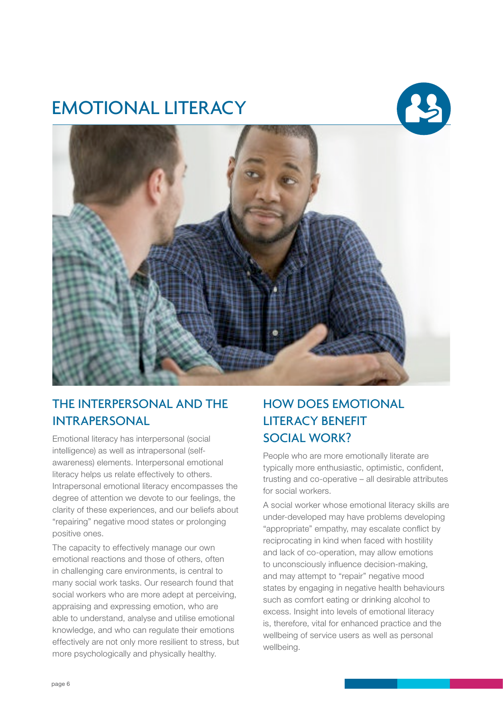# <span id="page-5-0"></span>Emotional literacy





### The interpersonal and the **INTRAPERSONAL**

Emotional literacy has interpersonal (social intelligence) as well as intrapersonal (selfawareness) elements. Interpersonal emotional literacy helps us relate effectively to others. Intrapersonal emotional literacy encompasses the degree of attention we devote to our feelings, the clarity of these experiences, and our beliefs about "repairing" negative mood states or prolonging positive ones.

The capacity to effectively manage our own emotional reactions and those of others, often in challenging care environments, is central to many social work tasks. Our research found that social workers who are more adept at perceiving, appraising and expressing emotion, who are able to understand, analyse and utilise emotional knowledge, and who can regulate their emotions effectively are not only more resilient to stress, but more psychologically and physically healthy.

### How does emotional literacy benefit social work?

People who are more emotionally literate are typically more enthusiastic, optimistic, confident, trusting and co-operative – all desirable attributes for social workers.

A social worker whose emotional literacy skills are under-developed may have problems developing "appropriate" empathy, may escalate conflict by reciprocating in kind when faced with hostility and lack of co-operation, may allow emotions to unconsciously influence decision-making, and may attempt to "repair" negative mood states by engaging in negative health behaviours such as comfort eating or drinking alcohol to excess. Insight into levels of emotional literacy is, therefore, vital for enhanced practice and the wellbeing of service users as well as personal wellbeing.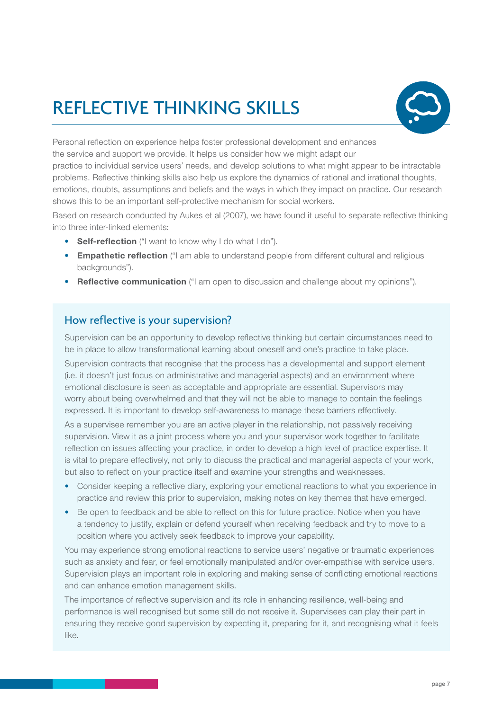# <span id="page-6-0"></span>Reflective thinking skills



Personal reflection on experience helps foster professional development and enhances the service and support we provide. It helps us consider how we might adapt our practice to individual service users' needs, and develop solutions to what might appear to be intractable problems. Reflective thinking skills also help us explore the dynamics of rational and irrational thoughts, emotions, doubts, assumptions and beliefs and the ways in which they impact on practice. Our research shows this to be an important self-protective mechanism for social workers.

Based on research conducted by Aukes et al (2007), we have found it useful to separate reflective thinking into three inter-linked elements:

- **Self-reflection** ("I want to know why I do what I do").
- **Empathetic reflection** ("I am able to understand people from different cultural and religious backgrounds").
- **Reflective communication** ("I am open to discussion and challenge about my opinions").

#### How reflective is your supervision?

Supervision can be an opportunity to develop reflective thinking but certain circumstances need to be in place to allow transformational learning about oneself and one's practice to take place.

Supervision contracts that recognise that the process has a developmental and support element (i.e. it doesn't just focus on administrative and managerial aspects) and an environment where emotional disclosure is seen as acceptable and appropriate are essential. Supervisors may worry about being overwhelmed and that they will not be able to manage to contain the feelings expressed. It is important to develop self-awareness to manage these barriers effectively.

As a supervisee remember you are an active player in the relationship, not passively receiving supervision. View it as a joint process where you and your supervisor work together to facilitate reflection on issues affecting your practice, in order to develop a high level of practice expertise. It is vital to prepare effectively, not only to discuss the practical and managerial aspects of your work, but also to reflect on your practice itself and examine your strengths and weaknesses.

- Consider keeping a reflective diary, exploring your emotional reactions to what you experience in practice and review this prior to supervision, making notes on key themes that have emerged.
- Be open to feedback and be able to reflect on this for future practice. Notice when you have a tendency to justify, explain or defend yourself when receiving feedback and try to move to a position where you actively seek feedback to improve your capability.

You may experience strong emotional reactions to service users' negative or traumatic experiences such as anxiety and fear, or feel emotionally manipulated and/or over-empathise with service users. Supervision plays an important role in exploring and making sense of conflicting emotional reactions and can enhance emotion management skills.

The importance of reflective supervision and its role in enhancing resilience, well-being and performance is well recognised but some still do not receive it. Supervisees can play their part in ensuring they receive good supervision by expecting it, preparing for it, and recognising what it feels like.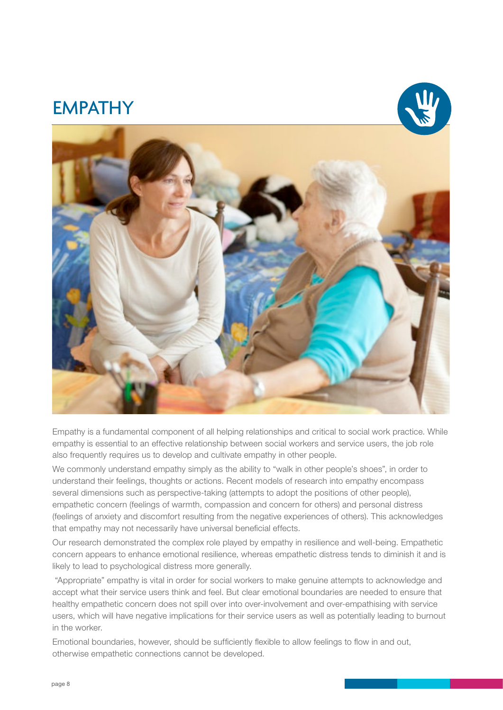### <span id="page-7-0"></span>**EMPATHY**





Empathy is a fundamental component of all helping relationships and critical to social work practice. While empathy is essential to an effective relationship between social workers and service users, the job role also frequently requires us to develop and cultivate empathy in other people.

We commonly understand empathy simply as the ability to "walk in other people's shoes", in order to understand their feelings, thoughts or actions. Recent models of research into empathy encompass several dimensions such as perspective-taking (attempts to adopt the positions of other people), empathetic concern (feelings of warmth, compassion and concern for others) and personal distress (feelings of anxiety and discomfort resulting from the negative experiences of others). This acknowledges that empathy may not necessarily have universal beneficial effects.

Our research demonstrated the complex role played by empathy in resilience and well-being. Empathetic concern appears to enhance emotional resilience, whereas empathetic distress tends to diminish it and is likely to lead to psychological distress more generally.

 "Appropriate" empathy is vital in order for social workers to make genuine attempts to acknowledge and accept what their service users think and feel. But clear emotional boundaries are needed to ensure that healthy empathetic concern does not spill over into over-involvement and over-empathising with service users, which will have negative implications for their service users as well as potentially leading to burnout in the worker.

Emotional boundaries, however, should be sufficiently flexible to allow feelings to flow in and out, otherwise empathetic connections cannot be developed.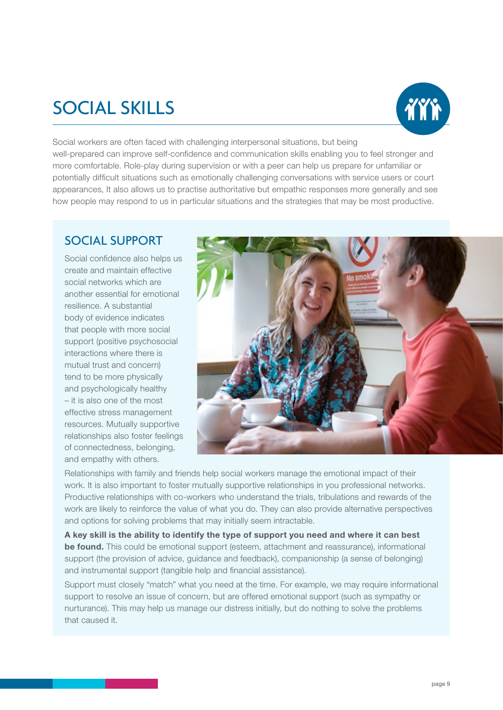# <span id="page-8-0"></span>social skills



Social workers are often faced with challenging interpersonal situations, but being well-prepared can improve self-confidence and communication skills enabling you to feel stronger and more comfortable. Role-play during supervision or with a peer can help us prepare for unfamiliar or potentially difficult situations such as emotionally challenging conversations with service users or court appearances, It also allows us to practise authoritative but empathic responses more generally and see how people may respond to us in particular situations and the strategies that may be most productive.

### Social support

Social confidence also helps us create and maintain effective social networks which are another essential for emotional resilience. A substantial body of evidence indicates that people with more social support (positive psychosocial interactions where there is mutual trust and concern) tend to be more physically and psychologically healthy – it is also one of the most effective stress management resources. Mutually supportive relationships also foster feelings of connectedness, belonging, and empathy with others.



Relationships with family and friends help social workers manage the emotional impact of their work. It is also important to foster mutually supportive relationships in you professional networks. Productive relationships with co-workers who understand the trials, tribulations and rewards of the work are likely to reinforce the value of what you do. They can also provide alternative perspectives and options for solving problems that may initially seem intractable.

**A key skill is the ability to identify the type of support you need and where it can best be found.** This could be emotional support (esteem, attachment and reassurance), informational support (the provision of advice, guidance and feedback), companionship (a sense of belonging) and instrumental support (tangible help and financial assistance).

Support must closely "match" what you need at the time. For example, we may require informational support to resolve an issue of concern, but are offered emotional support (such as sympathy or nurturance). This may help us manage our distress initially, but do nothing to solve the problems that caused it.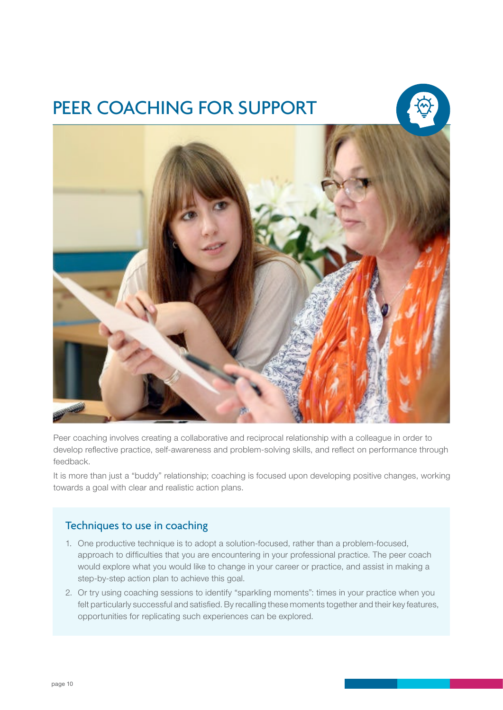# <span id="page-9-0"></span>PEER COACHING FOR SUPPORT





Peer coaching involves creating a collaborative and reciprocal relationship with a colleague in order to develop reflective practice, self-awareness and problem-solving skills, and reflect on performance through feedback.

It is more than just a "buddy" relationship; coaching is focused upon developing positive changes, working towards a goal with clear and realistic action plans.

#### Techniques to use in coaching

- 1. One productive technique is to adopt a solution-focused, rather than a problem-focused, approach to difficulties that you are encountering in your professional practice. The peer coach would explore what you would like to change in your career or practice, and assist in making a step-by-step action plan to achieve this goal.
- 2. Or try using coaching sessions to identify "sparkling moments": times in your practice when you felt particularly successful and satisfied. By recalling these moments together and their key features, opportunities for replicating such experiences can be explored.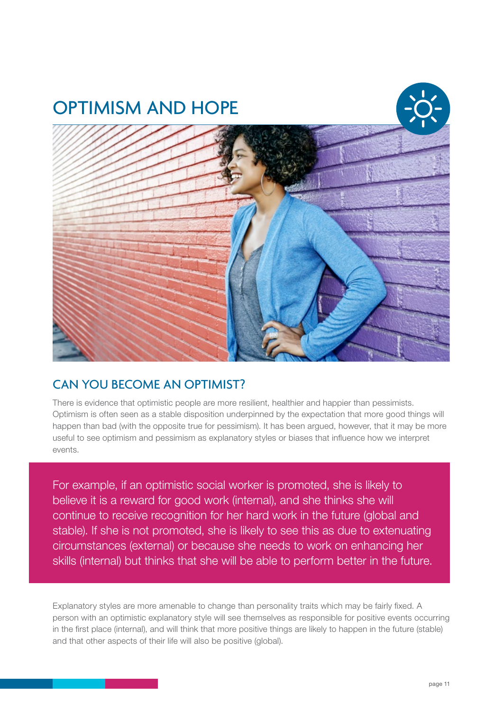<span id="page-10-0"></span>

### Can you become an optimist?

There is evidence that optimistic people are more resilient, healthier and happier than pessimists. Optimism is often seen as a stable disposition underpinned by the expectation that more good things will happen than bad (with the opposite true for pessimism). It has been argued, however, that it may be more useful to see optimism and pessimism as explanatory styles or biases that influence how we interpret events.

For example, if an optimistic social worker is promoted, she is likely to believe it is a reward for good work (internal), and she thinks she will continue to receive recognition for her hard work in the future (global and stable). If she is not promoted, she is likely to see this as due to extenuating circumstances (external) or because she needs to work on enhancing her skills (internal) but thinks that she will be able to perform better in the future.

Explanatory styles are more amenable to change than personality traits which may be fairly fixed. A person with an optimistic explanatory style will see themselves as responsible for positive events occurring in the first place (internal), and will think that more positive things are likely to happen in the future (stable) and that other aspects of their life will also be positive (global).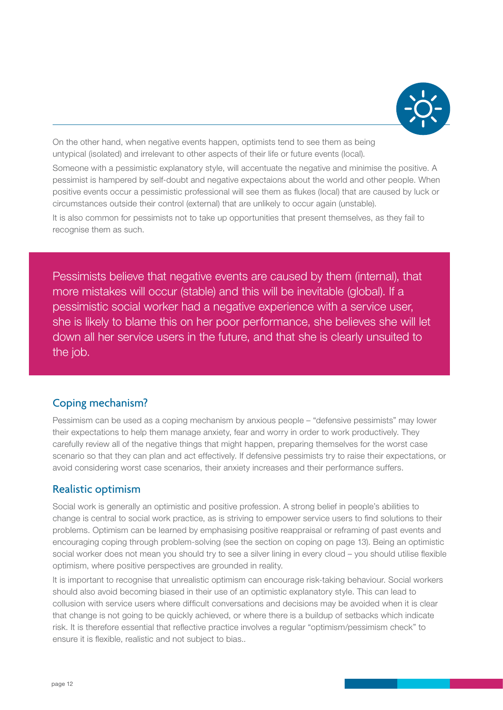

On the other hand, when negative events happen, optimists tend to see them as being untypical (isolated) and irrelevant to other aspects of their life or future events (local).

Someone with a pessimistic explanatory style, will accentuate the negative and minimise the positive. A pessimist is hampered by self-doubt and negative expectaions about the world and other people. When positive events occur a pessimistic professional will see them as flukes (local) that are caused by luck or circumstances outside their control (external) that are unlikely to occur again (unstable).

It is also common for pessimists not to take up opportunities that present themselves, as they fail to recognise them as such.

Pessimists believe that negative events are caused by them (internal), that more mistakes will occur (stable) and this will be inevitable (global). If a pessimistic social worker had a negative experience with a service user, she is likely to blame this on her poor performance, she believes she will let down all her service users in the future, and that she is clearly unsuited to the job.

#### Coping mechanism?

Pessimism can be used as a coping mechanism by anxious people – "defensive pessimists" may lower their expectations to help them manage anxiety, fear and worry in order to work productively. They carefully review all of the negative things that might happen, preparing themselves for the worst case scenario so that they can plan and act effectively. If defensive pessimists try to raise their expectations, or avoid considering worst case scenarios, their anxiety increases and their performance suffers.

#### Realistic optimism

Social work is generally an optimistic and positive profession. A strong belief in people's abilities to change is central to social work practice, as is striving to empower service users to find solutions to their problems. Optimism can be learned by emphasising positive reappraisal or reframing of past events and encouraging coping through problem-solving (see the section on coping on page 13). Being an optimistic social worker does not mean you should try to see a silver lining in every cloud – you should utilise flexible optimism, where positive perspectives are grounded in reality.

It is important to recognise that unrealistic optimism can encourage risk-taking behaviour. Social workers should also avoid becoming biased in their use of an optimistic explanatory style. This can lead to collusion with service users where difficult conversations and decisions may be avoided when it is clear that change is not going to be quickly achieved, or where there is a buildup of setbacks which indicate risk. It is therefore essential that reflective practice involves a regular "optimism/pessimism check" to ensure it is flexible, realistic and not subject to bias..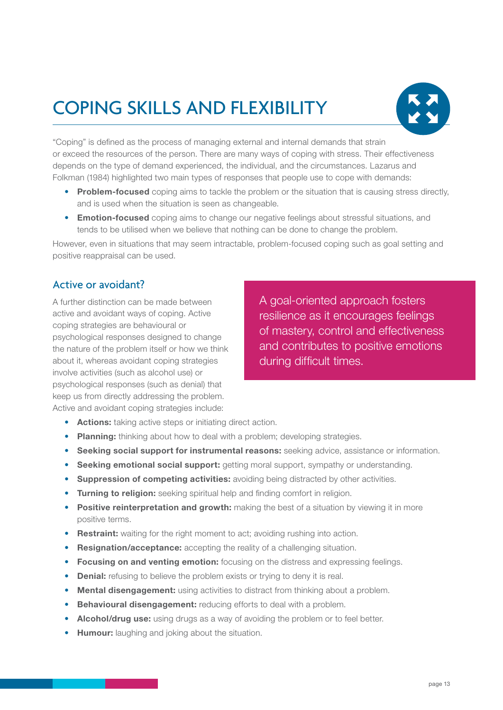# <span id="page-12-0"></span>Coping skills and flexibility



"Coping" is defined as the process of managing external and internal demands that strain or exceed the resources of the person. There are many ways of coping with stress. Their effectiveness depends on the type of demand experienced, the individual, and the circumstances. Lazarus and Folkman (1984) highlighted two main types of responses that people use to cope with demands:

- **Problem-focused** coping aims to tackle the problem or the situation that is causing stress directly, and is used when the situation is seen as changeable.
- **Emotion-focused** coping aims to change our negative feelings about stressful situations, and tends to be utilised when we believe that nothing can be done to change the problem.

However, even in situations that may seem intractable, problem-focused coping such as goal setting and positive reappraisal can be used.

#### Active or avoidant?

A further distinction can be made between active and avoidant ways of coping. Active coping strategies are behavioural or psychological responses designed to change the nature of the problem itself or how we think about it, whereas avoidant coping strategies involve activities (such as alcohol use) or psychological responses (such as denial) that keep us from directly addressing the problem. Active and avoidant coping strategies include:

A goal-oriented approach fosters resilience as it encourages feelings of mastery, control and effectiveness and contributes to positive emotions during difficult times.

- **Actions:** taking active steps or initiating direct action.
- **Planning:** thinking about how to deal with a problem; developing strategies.
- **Seeking social support for instrumental reasons:** seeking advice, assistance or information.
- **Seeking emotional social support:** getting moral support, sympathy or understanding.
- **Suppression of competing activities:** avoiding being distracted by other activities.
- **Turning to religion:** seeking spiritual help and finding comfort in religion.
- **Positive reinterpretation and growth:** making the best of a situation by viewing it in more positive terms.
- **Restraint:** waiting for the right moment to act; avoiding rushing into action.
- **Resignation/acceptance:** accepting the reality of a challenging situation.
- **Focusing on and venting emotion:** focusing on the distress and expressing feelings.
- **Denial:** refusing to believe the problem exists or trying to deny it is real.
- **Mental disengagement:** using activities to distract from thinking about a problem.
- **Behavioural disengagement:** reducing efforts to deal with a problem.
- **Alcohol/drug use:** using drugs as a way of avoiding the problem or to feel better.
- **Humour:** laughing and joking about the situation.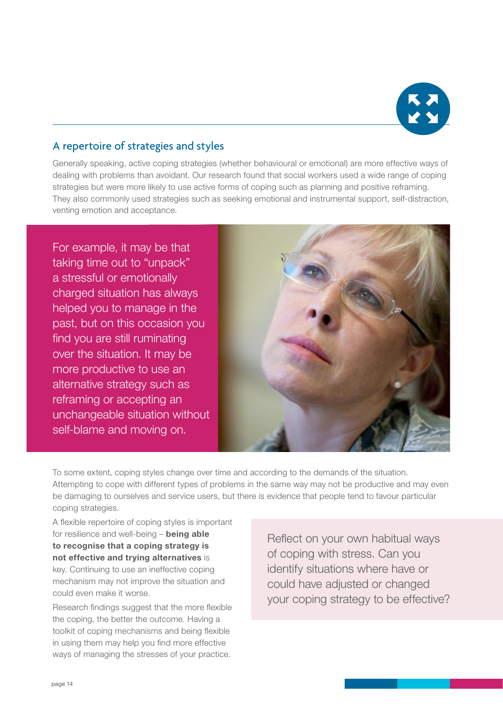

### A repertoire of strategies and styles

Generally speaking, active coping strategies (whether behavioural or emotional) are more effective ways of dealing with problems than avoidant. Our research found that social workers used a wide range of coping strategies but were more likely to use active forms of coping such as planning and positive reframing. They also commonly used strategies such as seeking emotional and instrumental support, self-distraction, venting emotion and acceptance.

For example, it may be that taking time out to "unpack" a stressful or emotionally charged situation has always helped you to manage in the past, but on this occasion you find you are still ruminating over the situation. It may be more productive to use an alternative strategy such as reframing or accepting an unchangeable situation without self-blame and moving on.



To some extent, coping styles change over time and according to the demands of the situation. Attempting to cope with different types of problems in the same way may not be productive and may even be damaging to ourselves and service users, but there is evidence that people tend to favour particular coping strategies.

A flexible repertoire of coping styles is important for resilience and well-being – **being able to recognise that a coping strategy is not effective and trying alternatives** is key. Continuing to use an ineffective coping mechanism may not improve the situation and could even make it worse.

Research findings suggest that the more flexible the coping, the better the outcome. Having a toolkit of coping mechanisms and being flexible in using them may help you find more effective ways of managing the stresses of your practice.

Reflect on your own habitual ways of coping with stress. Can you identify situations where have or could have adjusted or changed your coping strategy to be effective?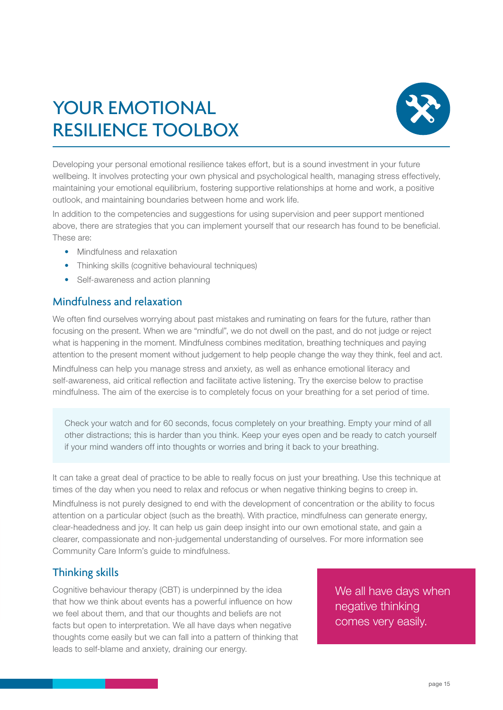# <span id="page-14-0"></span>YOUR EMOTIONAL resilience toolbox



Developing your personal emotional resilience takes effort, but is a sound investment in your future wellbeing. It involves protecting your own physical and psychological health, managing stress effectively, maintaining your emotional equilibrium, fostering supportive relationships at home and work, a positive outlook, and maintaining boundaries between home and work life.

In addition to the competencies and suggestions for using supervision and peer support mentioned above, there are strategies that you can implement yourself that our research has found to be beneficial. These are:

- Mindfulness and relaxation
- Thinking skills (cognitive behavioural techniques)
- Self-awareness and action planning

#### Mindfulness and relaxation

We often find ourselves worrying about past mistakes and ruminating on fears for the future, rather than focusing on the present. When we are "mindful", we do not dwell on the past, and do not judge or reject what is happening in the moment. Mindfulness combines meditation, breathing techniques and paying attention to the present moment without judgement to help people change the way they think, feel and act.

Mindfulness can help you manage stress and anxiety, as well as enhance emotional literacy and self-awareness, aid critical reflection and facilitate active listening. Try the exercise below to practise mindfulness. The aim of the exercise is to completely focus on your breathing for a set period of time.

Check your watch and for 60 seconds, focus completely on your breathing. Empty your mind of all other distractions; this is harder than you think. Keep your eyes open and be ready to catch yourself if your mind wanders off into thoughts or worries and bring it back to your breathing.

It can take a great deal of practice to be able to really focus on just your breathing. Use this technique at times of the day when you need to relax and refocus or when negative thinking begins to creep in. Mindfulness is not purely designed to end with the development of concentration or the ability to focus attention on a particular object (such as the breath). With practice, mindfulness can generate energy, clear-headedness and joy. It can help us gain deep insight into our own emotional state, and gain a clearer, compassionate and non-judgemental understanding of ourselves. For more information see Community Care Inform's guide to mindfulness.

### Thinking skills

Cognitive behaviour therapy (CBT) is underpinned by the idea that how we think about events has a powerful influence on how we feel about them, and that our thoughts and beliefs are not facts but open to interpretation. We all have days when negative thoughts come easily but we can fall into a pattern of thinking that leads to self-blame and anxiety, draining our energy.

We all have davs when negative thinking comes very easily.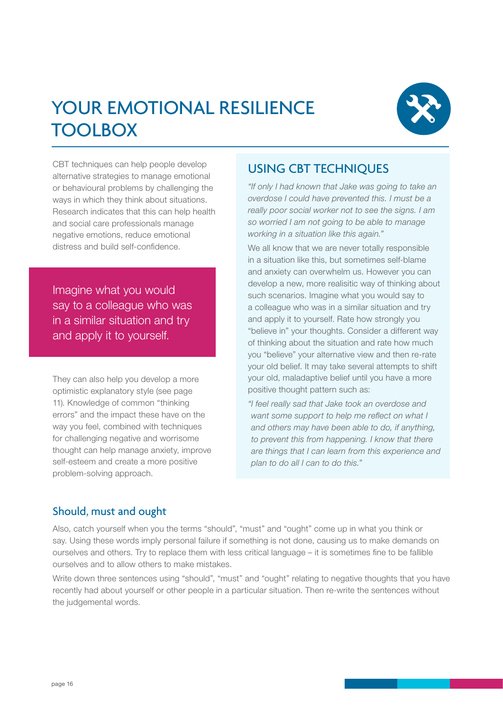# YOUR EMOTIONAL RESILIENCE **TOOLBOX**



CBT techniques can help people develop alternative strategies to manage emotional or behavioural problems by challenging the ways in which they think about situations. Research indicates that this can help health and social care professionals manage negative emotions, reduce emotional distress and build self-confidence.

Imagine what you would say to a colleague who was in a similar situation and try and apply it to yourself.

They can also help you develop a more optimistic explanatory style (see page 11). Knowledge of common "thinking errors" and the impact these have on the way you feel, combined with techniques for challenging negative and worrisome thought can help manage anxiety, improve self-esteem and create a more positive problem-solving approach.

### Using CBT techniques

*"If only I had known that Jake was going to take an overdose I could have prevented this. I must be a really poor social worker not to see the signs. I am so worried I am not going to be able to manage working in a situation like this again."*

We all know that we are never totally responsible in a situation like this, but sometimes self-blame and anxiety can overwhelm us. However you can develop a new, more realisitic way of thinking about such scenarios. Imagine what you would say to a colleague who was in a similar situation and try and apply it to yourself. Rate how strongly you "believe in" your thoughts. Consider a different way of thinking about the situation and rate how much you "believe" your alternative view and then re-rate your old belief. It may take several attempts to shift your old, maladaptive belief until you have a more positive thought pattern such as:

*"I feel really sad that Jake took an overdose and want some support to help me reflect on what I and others may have been able to do, if anything, to prevent this from happening. I know that there are things that I can learn from this experience and plan to do all I can to do this."*

### Should, must and ought

Also, catch yourself when you the terms "should", "must" and "ought" come up in what you think or say. Using these words imply personal failure if something is not done, causing us to make demands on ourselves and others. Try to replace them with less critical language – it is sometimes fine to be fallible ourselves and to allow others to make mistakes.

Write down three sentences using "should", "must" and "ought" relating to negative thoughts that you have recently had about yourself or other people in a particular situation. Then re-write the sentences without the judgemental words.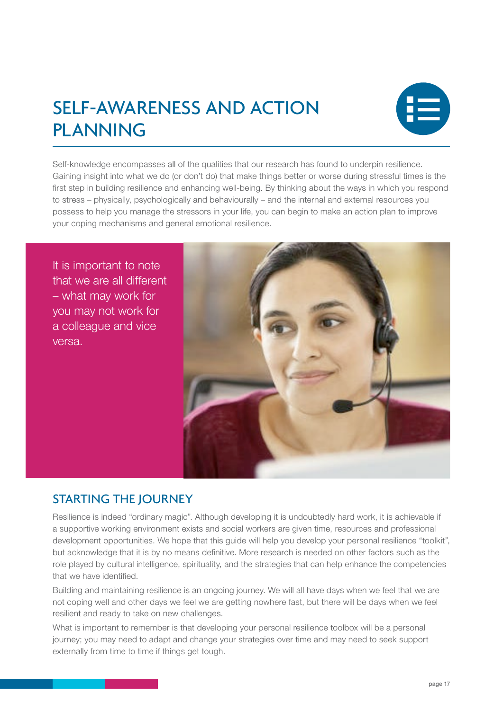# <span id="page-16-0"></span>Self-awareness and action **PLANNING**



Self-knowledge encompasses all of the qualities that our research has found to underpin resilience. Gaining insight into what we do (or don't do) that make things better or worse during stressful times is the first step in building resilience and enhancing well-being. By thinking about the ways in which you respond to stress – physically, psychologically and behaviourally – and the internal and external resources you possess to help you manage the stressors in your life, you can begin to make an action plan to improve your coping mechanisms and general emotional resilience.

It is important to note that we are all different – what may work for you may not work for a colleague and vice versa.



### Starting the journey

Resilience is indeed "ordinary magic". Although developing it is undoubtedly hard work, it is achievable if a supportive working environment exists and social workers are given time, resources and professional development opportunities. We hope that this guide will help you develop your personal resilience "toolkit", but acknowledge that it is by no means definitive. More research is needed on other factors such as the role played by cultural intelligence, spirituality, and the strategies that can help enhance the competencies that we have identified.

Building and maintaining resilience is an ongoing journey. We will all have days when we feel that we are not coping well and other days we feel we are getting nowhere fast, but there will be days when we feel resilient and ready to take on new challenges.

What is important to remember is that developing your personal resilience toolbox will be a personal journey; you may need to adapt and change your strategies over time and may need to seek support externally from time to time if things get tough.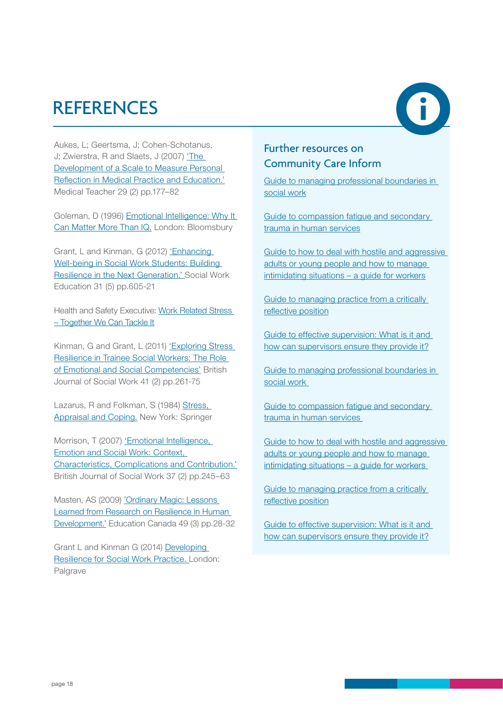# <span id="page-17-0"></span>**REFERENCES**



Aukes, L; Geertsma, J; Cohen-Schotanus, J; Zwierstra, R and Slaets, J (2007) ['The](http://)  [Development of a Scale to Measure Personal](http://)  [Reflection in Medical Practice and Education.'](http://) Medical Teacher 29 (2) pp.177–82

Goleman, D (1996) [Emotional Intelligence: Why It](http://www.amazon.co.uk/Emotional-Intelligence-Matter-More-Than/dp/0747528306)  [Can Matter More Than IQ.](http://www.amazon.co.uk/Emotional-Intelligence-Matter-More-Than/dp/0747528306) London: Bloomsbury

Grant, L and Kinman, G (2012) '[Enhancing](http://www.tandfonline.com/doi/abs/10.1080/02615479.2011.590931#.VRRjLKU4Sao)  [Well-being in Social Work Students: Building](http://www.tandfonline.com/doi/abs/10.1080/02615479.2011.590931#.VRRjLKU4Sao)  [Resilience in the Next Generation.'](http://www.tandfonline.com/doi/abs/10.1080/02615479.2011.590931#.VRRjLKU4Sao) Social Work Education 31 (5) pp.605-21

Health and Safety Executive: [Work Related Stress](http://www.hse.gov.uk/stress/index.htm)  [– Together We Can Tackle It](http://www.hse.gov.uk/stress/index.htm)

Kinman, G and Grant, L (2011) 'Exploring Stress [Resilience in Trainee Social Workers: The Role](http://bjsw.oxfordjournals.org/content/early/2010/08/24/bjsw.bcq088.abstract)  [of Emotional and Social Competencies'](http://bjsw.oxfordjournals.org/content/early/2010/08/24/bjsw.bcq088.abstract) British Journal of Social Work 41 (2) pp.261-75

Lazarus, R and Folkman, S (1984) Stress, [Appraisal and Coping.](http://www.amazon.co.uk/Stress-Appraisal-Coping-Richard-Lazarus/dp/0826141919) New York: Springer

Morrison, T (2007) ['Emotional Intelligence,](http://bjsw.oxfordjournals.org/content/37/2/245.abstract)  [Emotion and Social Work: Context,](http://bjsw.oxfordjournals.org/content/37/2/245.abstract)  [Characteristics, Complications and Contribution.'](http://bjsw.oxfordjournals.org/content/37/2/245.abstract) British Journal of Social Work 37 (2) pp.245–63

Masten, AS (2009) ['Ordinary Magic: Lessons](http://www.unnaturalcauses.org/assets/uploads/file/OrdinaryMagic.pdf)  [Learned from Research on Resilience in Human](http://www.unnaturalcauses.org/assets/uploads/file/OrdinaryMagic.pdf)  [Development.'](http://www.unnaturalcauses.org/assets/uploads/file/OrdinaryMagic.pdf) Education Canada 49 (3) pp.28-32

Grant L and Kinman G (2014) [Developing](http://www.palgrave.com/page/detail/developing-resilience-for-social-work-practice-/?K=9781137302496)  [Resilience for Social Work Practice.](http://www.palgrave.com/page/detail/developing-resilience-for-social-work-practice-/?K=9781137302496) London: Palgrave

### Further resources on Community Care Inform

[Guide to managing professional boundaries in](http://www.ccinform.co.uk/guides/guide-to-managing-professional-boundaries-in-social-work/)  [social work](http://www.ccinform.co.uk/guides/guide-to-managing-professional-boundaries-in-social-work/)

[Guide to compassion fatigue and secondary](http://www.ccinform.co.uk/guides/guide-to-compassion-fatigue-and-secondary-trauma-in-human-services/)  [trauma in human services](http://www.ccinform.co.uk/guides/guide-to-compassion-fatigue-and-secondary-trauma-in-human-services/)

[Guide to how to deal with hostile and aggressive](http://www.ccinform.co.uk/guides/guide-to-how-to-deal-with-hostile-and-aggressive-adults-or-young-people-and-how-to-manage-intimidating-situations-a-guide-for-workers/)  [adults or young people and how to manage](http://www.ccinform.co.uk/guides/guide-to-how-to-deal-with-hostile-and-aggressive-adults-or-young-people-and-how-to-manage-intimidating-situations-a-guide-for-workers/)  [intimidating situations – a guide for workers](http://www.ccinform.co.uk/guides/guide-to-how-to-deal-with-hostile-and-aggressive-adults-or-young-people-and-how-to-manage-intimidating-situations-a-guide-for-workers/)

Guide to managing practice from a critically [reflective position](http://www.ccinform.co.uk/guides/guide-to-managing-practice-from-a-critically-reflective-position/)

[Guide to effective supervision: What is it and](http://www.ccinform.co.uk/guides/guide-to-effective-supervision-what-is-it-and-how-can-supervisors-ensure-they-provide-it/)  [how can supervisors ensure they provide it?](http://www.ccinform.co.uk/guides/guide-to-effective-supervision-what-is-it-and-how-can-supervisors-ensure-they-provide-it/)

[Guide to managing professional boundaries in](http://www.ccinform.co.uk/guides/guide-to-managing-professional-boundaries-in-social-work/)  [social work](http://www.ccinform.co.uk/guides/guide-to-managing-professional-boundaries-in-social-work/) 

[Guide to compassion fatigue and secondary](http://www.ccinform.co.uk/guides/guide-to-compassion-fatigue-and-secondary-trauma-in-human-services/)  [trauma in human services](http://www.ccinform.co.uk/guides/guide-to-compassion-fatigue-and-secondary-trauma-in-human-services/) 

[Guide to how to deal with hostile and aggressive](http://www.ccinform.co.uk/guides/guide-to-how-to-deal-with-hostile-and-aggressive-adults-or-young-people-and-how-to-manage-intimidating-situations-a-guide-for-workers/)  [adults or young people and how to manage](http://www.ccinform.co.uk/guides/guide-to-how-to-deal-with-hostile-and-aggressive-adults-or-young-people-and-how-to-manage-intimidating-situations-a-guide-for-workers/)  [intimidating situations – a guide for workers](http://www.ccinform.co.uk/guides/guide-to-how-to-deal-with-hostile-and-aggressive-adults-or-young-people-and-how-to-manage-intimidating-situations-a-guide-for-workers/) 

[Guide to managing practice from a critically](http://www.ccinform.co.uk/guides/guide-to-managing-practice-from-a-critically-reflective-position/)  [reflective position](http://www.ccinform.co.uk/guides/guide-to-managing-practice-from-a-critically-reflective-position/)

[Guide to effective supervision: What is it and](http://www.ccinform.co.uk/guides/guide-to-effective-supervision-what-is-it-and-how-can-supervisors-ensure-they-provide-it/)  [how can supervisors ensure they provide it?](http://www.ccinform.co.uk/guides/guide-to-effective-supervision-what-is-it-and-how-can-supervisors-ensure-they-provide-it/)